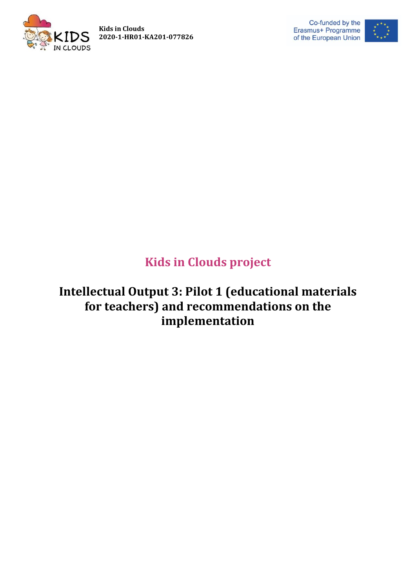





# **Kids in Clouds project**

# **Intellectual Output 3: Pilot 1 (educational materials for teachers) and recommendations on the implementation**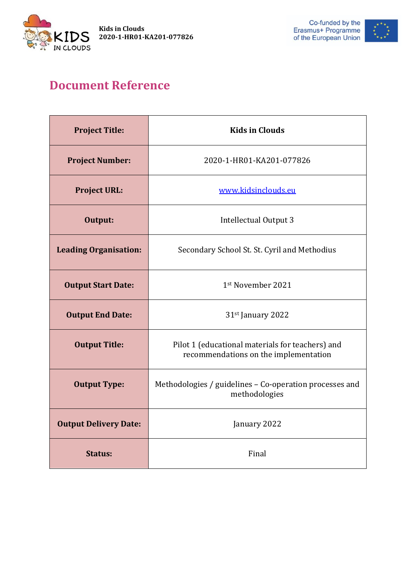



# **Document Reference**

| <b>Project Title:</b>        | <b>Kids in Clouds</b>                                                                     |
|------------------------------|-------------------------------------------------------------------------------------------|
| <b>Project Number:</b>       | 2020-1-HR01-KA201-077826                                                                  |
| <b>Project URL:</b>          | www.kidsinclouds.eu                                                                       |
| Output:                      | Intellectual Output 3                                                                     |
| <b>Leading Organisation:</b> | Secondary School St. St. Cyril and Methodius                                              |
| <b>Output Start Date:</b>    | 1st November 2021                                                                         |
| <b>Output End Date:</b>      | 31 <sup>st</sup> January 2022                                                             |
| <b>Output Title:</b>         | Pilot 1 (educational materials for teachers) and<br>recommendations on the implementation |
| <b>Output Type:</b>          | Methodologies / guidelines - Co-operation processes and<br>methodologies                  |
| <b>Output Delivery Date:</b> | January 2022                                                                              |
| <b>Status:</b>               | Final                                                                                     |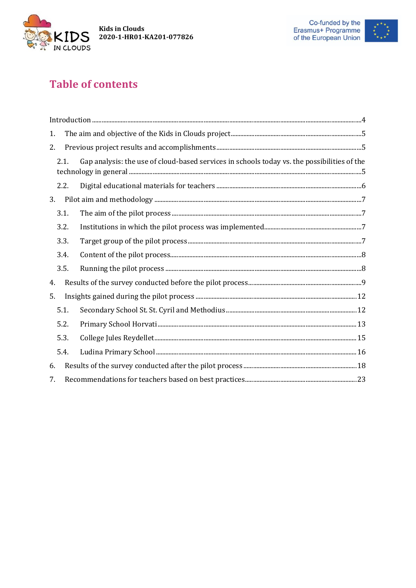



# **Table of contents**

| 1.                                                                                                  |      |  |  |  |
|-----------------------------------------------------------------------------------------------------|------|--|--|--|
| 2.                                                                                                  |      |  |  |  |
| Gap analysis: the use of cloud-based services in schools today vs. the possibilities of the<br>2.1. |      |  |  |  |
|                                                                                                     | 2.2. |  |  |  |
| 3.                                                                                                  |      |  |  |  |
|                                                                                                     | 3.1. |  |  |  |
|                                                                                                     | 3.2. |  |  |  |
|                                                                                                     | 3.3. |  |  |  |
|                                                                                                     | 3.4. |  |  |  |
|                                                                                                     | 3.5. |  |  |  |
| 4.                                                                                                  |      |  |  |  |
| 5.                                                                                                  |      |  |  |  |
|                                                                                                     | 5.1. |  |  |  |
|                                                                                                     | 5.2. |  |  |  |
|                                                                                                     | 5.3. |  |  |  |
|                                                                                                     | 5.4. |  |  |  |
| 6.                                                                                                  |      |  |  |  |
| 7.                                                                                                  |      |  |  |  |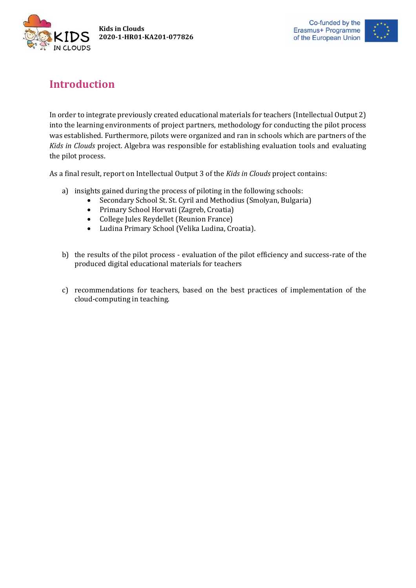



## <span id="page-3-0"></span>**Introduction**

In order to integrate previously created educational materials for teachers (Intellectual Output 2) into the learning environments of project partners, methodology for conducting the pilot process was established. Furthermore, pilots were organized and ran in schools which are partners of the *Kids in Clouds* project. Algebra was responsible for establishing evaluation tools and evaluating the pilot process.

As a final result, report on Intellectual Output 3 of the *Kids in Clouds* project contains:

- a) insights gained during the process of piloting in the following schools:
	- Secondary School St. St. Cyril and Methodius (Smolyan, Bulgaria)
	- Primary School Horvati (Zagreb, Croatia)
	- College Jules Reydellet (Reunion France)
	- Ludina Primary School (Velika Ludina, Croatia).
- b) the results of the pilot process evaluation of the pilot efficiency and success-rate of the produced digital educational materials for teachers
- c) recommendations for teachers, based on the best practices of implementation of the cloud-computing in teaching.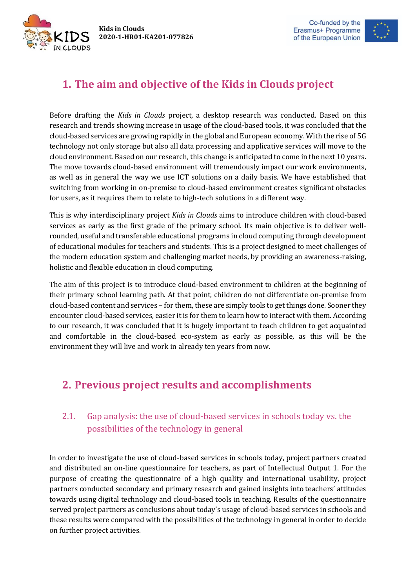

## <span id="page-4-0"></span>**1. The aim and objective of the Kids in Clouds project**

Before drafting the *Kids in Clouds* project, a desktop research was conducted. Based on this research and trends showing increase in usage of the cloud-based tools, it was concluded that the cloud-based services are growing rapidly in the global and European economy. With the rise of 5G technology not only storage but also all data processing and applicative services will move to the cloud environment. Based on our research, this change is anticipated to come in the next 10 years. The move towards cloud-based environment will tremendously impact our work environments, as well as in general the way we use ICT solutions on a daily basis. We have established that switching from working in on-premise to cloud-based environment creates significant obstacles for users, as it requires them to relate to high-tech solutions in a different way.

This is why interdisciplinary project *Kids in Clouds* aims to introduce children with cloud-based services as early as the first grade of the primary school. Its main objective is to deliver wellrounded, useful and transferable educational programs in cloud computing through development of educational modules for teachers and students. This is a project designed to meet challenges of the modern education system and challenging market needs, by providing an awareness-raising, holistic and flexible education in cloud computing.

The aim of this project is to introduce cloud-based environment to children at the beginning of their primary school learning path. At that point, children do not differentiate on-premise from cloud-based content and services – for them, these are simply tools to get things done. Sooner they encounter cloud-based services, easier it is for them to learn how to interact with them. According to our research, it was concluded that it is hugely important to teach children to get acquainted and comfortable in the cloud-based eco-system as early as possible, as this will be the environment they will live and work in already ten years from now.

## <span id="page-4-1"></span>**2. Previous project results and accomplishments**

#### <span id="page-4-2"></span>2.1. Gap analysis: the use of cloud-based services in schools today vs. the possibilities of the technology in general

In order to investigate the use of cloud-based services in schools today, project partners created and distributed an on-line questionnaire for teachers, as part of Intellectual Output 1. For the purpose of creating the questionnaire of a high quality and international usability, project partners conducted secondary and primary research and gained insights into teachers' attitudes towards using digital technology and cloud-based tools in teaching. Results of the questionnaire served project partners as conclusions about today's usage of cloud-based services in schools and these results were compared with the possibilities of the technology in general in order to decide on further project activities.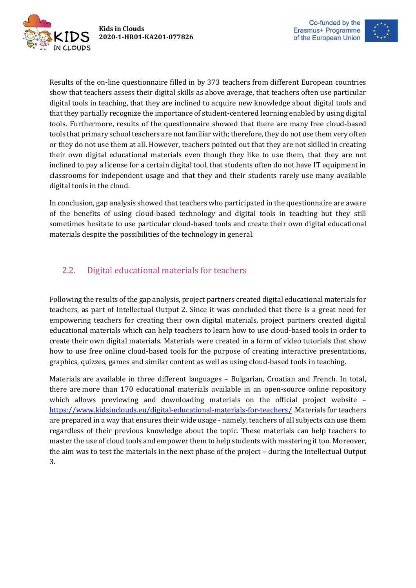

**Kids in Clouds 2020-1-HR01-KA201-077826**



Results of the on-line questionnaire filled in by 373 teachers from different European countries show that teachers assess their digital skills as above average, that teachers often use particular digital tools in teaching, that they are inclined to acquire new knowledge about digital tools and that they partially recognize the importance of student-centered learning enabled by using digital tools. Furthermore, results of the questionnaire showed that there are many free cloud-based tools that primary school teachers are not familiar with; therefore, they do not use them very often or they do not use them at all. However, teachers pointed out that they are not skilled in creating their own digital educational materials even though they like to use them, that they are not inclined to pay a license for a certain digital tool, that students often do not have IT equipment in classrooms for independent usage and that they and their students rarely use many available digital tools in the cloud.

In conclusion, gap analysis showed that teachers who participated in the questionnaire are aware of the benefits of using cloud-based technology and digital tools in teaching but they still sometimes hesitate to use particular cloud-based tools and create their own digital educational materials despite the possibilities of the technology in general.

#### <span id="page-5-0"></span>2.2. Digital educational materials for teachers

Following the results of the gap analysis, project partners created digital educational materials for teachers, as part of Intellectual Output 2. Since it was concluded that there is a great need for empowering teachers for creating their own digital materials, project partners created digital educational materials which can help teachers to learn how to use cloud-based tools in order to create their own digital materials. Materials were created in a form of video tutorials that show how to use free online cloud-based tools for the purpose of creating interactive presentations, graphics, quizzes, games and similar content as well as using cloud-based tools in teaching.

Materials are available in three different languages – Bulgarian, Croatian and French. In total, there are more than 170 educational materials available in an open-source online repository which allows previewing and downloading materials on the official project website – <https://www.kidsinclouds.eu/digital-educational-materials-for-teachers/> .Materials for teachers are prepared in a way that ensures their wide usage - namely, teachers of all subjects can use them regardless of their previous knowledge about the topic. These materials can help teachers to master the use of cloud tools and empower them to help students with mastering it too. Moreover, the aim was to test the materials in the next phase of the project – during the Intellectual Output 3.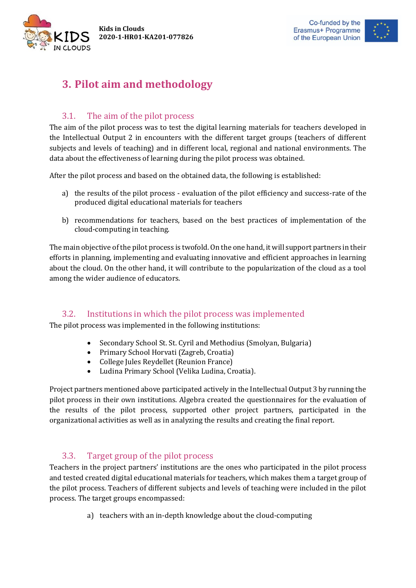**Kids in Clouds 2020-1-HR01-KA201-077826**





## <span id="page-6-0"></span>**3. Pilot aim and methodology**

#### 3.1. The aim of the pilot process

<span id="page-6-1"></span>The aim of the pilot process was to test the digital learning materials for teachers developed in the Intellectual Output 2 in encounters with the different target groups (teachers of different subjects and levels of teaching) and in different local, regional and national environments. The data about the effectiveness of learning during the pilot process was obtained.

After the pilot process and based on the obtained data, the following is established:

- a) the results of the pilot process evaluation of the pilot efficiency and success-rate of the produced digital educational materials for teachers
- b) recommendations for teachers, based on the best practices of implementation of the cloud-computing in teaching.

The main objective of the pilot process is twofold. On the one hand, it will support partners in their efforts in planning, implementing and evaluating innovative and efficient approaches in learning about the cloud. On the other hand, it will contribute to the popularization of the cloud as a tool among the wider audience of educators.

#### 3.2. Institutions in which the pilot process was implemented

<span id="page-6-2"></span>The pilot process was implemented in the following institutions:

- Secondary School St. St. Cyril and Methodius (Smolyan, Bulgaria)
- Primary School Horvati (Zagreb, Croatia)
- College Jules Reydellet (Reunion France)
- Ludina Primary School (Velika Ludina, Croatia).

Project partners mentioned above participated actively in the Intellectual Output 3 by running the pilot process in their own institutions. Algebra created the questionnaires for the evaluation of the results of the pilot process, supported other project partners, participated in the organizational activities as well as in analyzing the results and creating the final report.

#### 3.3. Target group of the pilot process

<span id="page-6-3"></span>Teachers in the project partners' institutions are the ones who participated in the pilot process and tested created digital educational materials for teachers, which makes them a target group of the pilot process. Teachers of different subjects and levels of teaching were included in the pilot process. The target groups encompassed:

a) teachers with an in-depth knowledge about the cloud-computing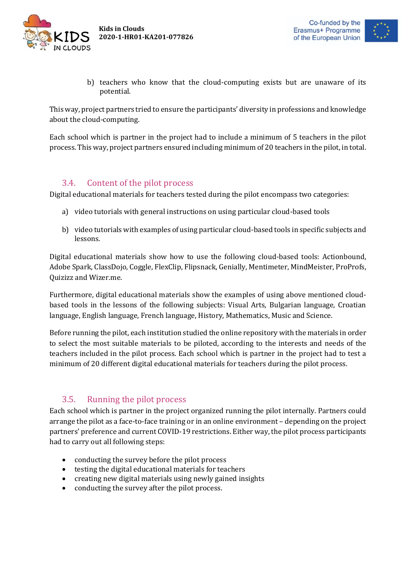



b) teachers who know that the cloud-computing exists but are unaware of its potential.

This way, project partners tried to ensure the participants' diversity in professions and knowledge about the cloud-computing.

Each school which is partner in the project had to include a minimum of 5 teachers in the pilot process. This way, project partners ensured including minimum of 20 teachers in the pilot, in total.

#### 3.4. Content of the pilot process

<span id="page-7-0"></span>Digital educational materials for teachers tested during the pilot encompass two categories:

- a) video tutorials with general instructions on using particular cloud-based tools
- b) video tutorials with examples of using particular cloud-based tools in specific subjects and lessons.

Digital educational materials show how to use the following cloud-based tools: Actionbound, Adobe Spark, ClassDojo, Coggle, FlexClip, Flipsnack, Genially, Mentimeter, MindMeister, ProProfs, Quizizz and Wizer.me.

Furthermore, digital educational materials show the examples of using above mentioned cloudbased tools in the lessons of the following subjects: Visual Arts, Bulgarian language, Croatian language, English language, French language, History, Mathematics, Music and Science.

Before running the pilot, each institution studied the online repository with the materials in order to select the most suitable materials to be piloted, according to the interests and needs of the teachers included in the pilot process. Each school which is partner in the project had to test a minimum of 20 different digital educational materials for teachers during the pilot process.

#### 3.5. Running the pilot process

<span id="page-7-1"></span>Each school which is partner in the project organized running the pilot internally. Partners could arrange the pilot as a face-to-face training or in an online environment – depending on the project partners' preference and current COVID-19 restrictions. Either way, the pilot process participants had to carry out all following steps:

- conducting the survey before the pilot process
- testing the digital educational materials for teachers
- creating new digital materials using newly gained insights
- conducting the survey after the pilot process.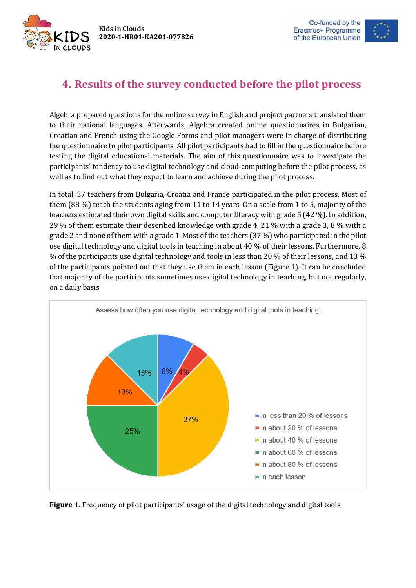IN CLOUDS



## <span id="page-8-0"></span>**4. Results of the survey conducted before the pilot process**

Algebra prepared questions for the online survey in English and project partners translated them to their national languages. Afterwards, Algebra created online questionnaires in Bulgarian, Croatian and French using the Google Forms and pilot managers were in charge of distributing the questionnaire to pilot participants. All pilot participants had to fill in the questionnaire before testing the digital educational materials. The aim of this questionnaire was to investigate the participants' tendency to use digital technology and cloud-computing before the pilot process, as well as to find out what they expect to learn and achieve during the pilot process.

In total, 37 teachers from Bulgaria, Croatia and France participated in the pilot process. Most of them (88 %) teach the students aging from 11 to 14 years. On a scale from 1 to 5, majority of the teachers estimated their own digital skills and computer literacy with grade 5 (42 %). In addition, 29 % of them estimate their described knowledge with grade 4, 21 % with a grade 3, 8 % with a grade 2 and none of them with a grade 1. Most of the teachers (37 %) who participated in the pilot use digital technology and digital tools in teaching in about 40 % of their lessons. Furthermore, 8 % of the participants use digital technology and tools in less than 20 % of their lessons, and 13 % of the participants pointed out that they use them in each lesson (Figure 1). It can be concluded that majority of the participants sometimes use digital technology in teaching, but not regularly, on a daily basis.



**Figure 1.** Frequency of pilot participants' usage of the digital technology and digital tools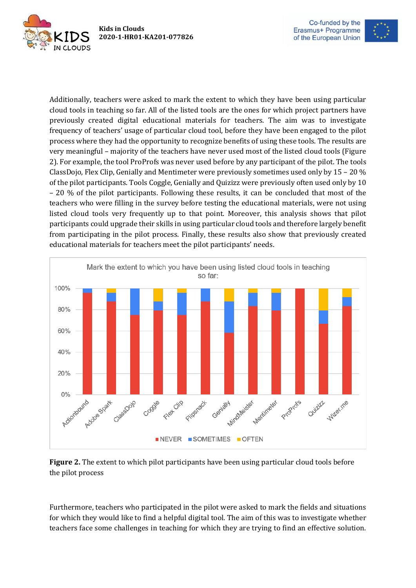



Additionally, teachers were asked to mark the extent to which they have been using particular cloud tools in teaching so far. All of the listed tools are the ones for which project partners have previously created digital educational materials for teachers. The aim was to investigate frequency of teachers' usage of particular cloud tool, before they have been engaged to the pilot process where they had the opportunity to recognize benefits of using these tools. The results are very meaningful – majority of the teachers have never used most of the listed cloud tools (Figure 2). For example, the tool ProProfs was never used before by any participant of the pilot. The tools ClassDojo, Flex Clip, Genially and Mentimeter were previously sometimes used only by 15 – 20 % of the pilot participants. Tools Coggle, Genially and Quizizz were previously often used only by 10 – 20 % of the pilot participants. Following these results, it can be concluded that most of the teachers who were filling in the survey before testing the educational materials, were not using listed cloud tools very frequently up to that point. Moreover, this analysis shows that pilot participants could upgrade their skills in using particular cloud tools and therefore largely benefit from participating in the pilot process. Finally, these results also show that previously created educational materials for teachers meet the pilot participants' needs.





Furthermore, teachers who participated in the pilot were asked to mark the fields and situations for which they would like to find a helpful digital tool. The aim of this was to investigate whether teachers face some challenges in teaching for which they are trying to find an effective solution.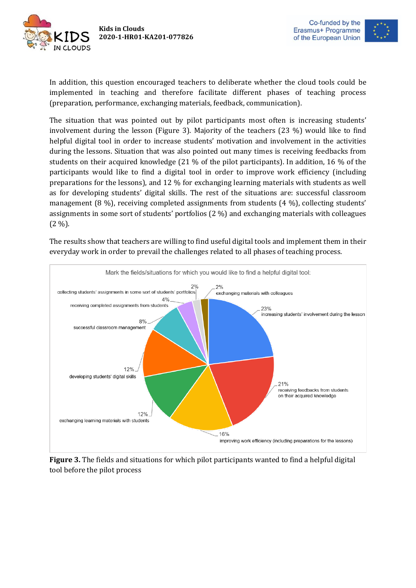



In addition, this question encouraged teachers to deliberate whether the cloud tools could be implemented in teaching and therefore facilitate different phases of teaching process (preparation, performance, exchanging materials, feedback, communication).

The situation that was pointed out by pilot participants most often is increasing students' involvement during the lesson (Figure 3). Majority of the teachers (23 %) would like to find helpful digital tool in order to increase students' motivation and involvement in the activities during the lessons. Situation that was also pointed out many times is receiving feedbacks from students on their acquired knowledge (21 % of the pilot participants). In addition, 16 % of the participants would like to find a digital tool in order to improve work efficiency (including preparations for the lessons), and 12 % for exchanging learning materials with students as well as for developing students' digital skills. The rest of the situations are: successful classroom management (8 %), receiving completed assignments from students (4 %), collecting students' assignments in some sort of students' portfolios (2 %) and exchanging materials with colleagues  $(2 \%)$ .

The results show that teachers are willing to find useful digital tools and implement them in their everyday work in order to prevail the challenges related to all phases of teaching process.



**Figure 3.** The fields and situations for which pilot participants wanted to find a helpful digital tool before the pilot process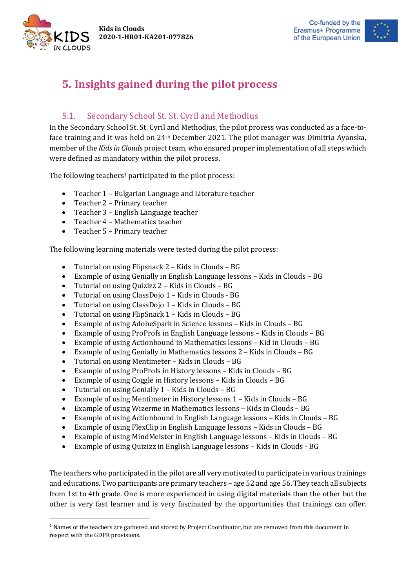**Kids in Clouds 2020-1-HR01-KA201-077826**



**.** 



## <span id="page-11-0"></span>**5. Insights gained during the pilot process**

#### 5.1. Secondary School St. St. Cyril and Methodius

<span id="page-11-1"></span>In the Secondary School St. St. Cyril and Methodius, the pilot process was conducted as a face-toface training and it was held on 24th December 2021. The pilot manager was Dimitria Ayanska, member of the *Kids in Clouds* project team, who ensured proper implementation of all steps which were defined as mandatory within the pilot process.

The following teachers<sup>1</sup> participated in the pilot process:

- Teacher 1 Bulgarian Language and Literature teacher
- Teacher 2 Primary teacher
- Teacher 3 English Language teacher
- Teacher 4 Mathematics teacher
- Teacher 5 Primary teacher

The following learning materials were tested during the pilot process:

- Tutorial on using Flipsnack 2 Kids in Clouds BG
- Example of using Genially in English Language lessons Kids in Clouds BG
- Tutorial on using Quizizz 2 Kids in Clouds BG
- Tutorial on using ClassDojo 1 Kids in Clouds BG
- Tutorial on using ClassDojo 1 Kids in Clouds BG
- Tutorial on using FlipSnack 1 Kids in Clouds BG
- Example of using AdobeSpark in Science lessons Kids in Clouds BG
- Example of using ProProfs in English Language lessons Kids in Clouds BG
- Example of using Actionbound in Mathematics lessons Kid in Clouds BG
- Example of using Genially in Mathematics lessons 2 Kids in Clouds BG
- Tutorial on using Mentimeter Kids in Clouds BG
- Example of using ProProfs in History lessons Kids in Clouds BG
- Example of using Coggle in History lessons Kids in Clouds BG
- Tutorial on using Genially 1 Kids in Clouds BG
- Example of using Mentimeter in History lessons 1 Kids in Clouds BG
- Example of using Wizerme in Mathematics lessons Kids in Clouds BG
- Example of using Actionbound in English Language lessons Kids in Clouds BG
- Example of using FlexClip in English Language lessons Kids in Clouds BG
- Example of using MindMeister in English Language lessons Kids in Clouds BG
- Example of using Quizizz in English Language lessons Kids in Clouds BG

The teachers who participated in the pilot are all very motivated to participate in various trainings and educations. Two participants are primary teachers – age 52 and age 56. They teach all subjects from 1st to 4th grade. One is more experienced in using digital materials than the other but the other is very fast learner and is very fascinated by the opportunities that trainings can offer.

<sup>1</sup> Names of the teachers are gathered and stored by Project Coordinator, but are removed from this document in respect with the GDPR provisions.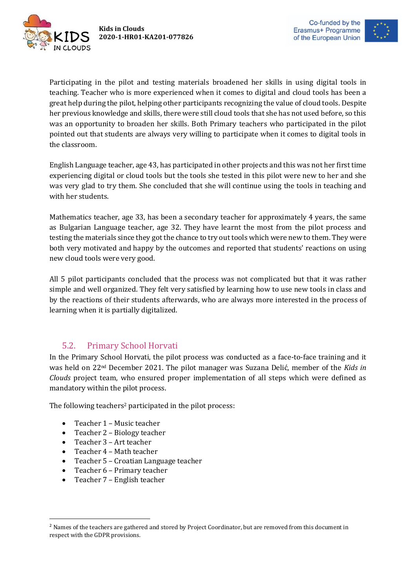



Participating in the pilot and testing materials broadened her skills in using digital tools in teaching. Teacher who is more experienced when it comes to digital and cloud tools has been a great help during the pilot, helping other participants recognizing the value of cloud tools. Despite her previous knowledge and skills, there were still cloud tools that she has not used before, so this was an opportunity to broaden her skills. Both Primary teachers who participated in the pilot pointed out that students are always very willing to participate when it comes to digital tools in the classroom.

English Language teacher, age 43, has participated in other projects and this was not her first time experiencing digital or cloud tools but the tools she tested in this pilot were new to her and she was very glad to try them. She concluded that she will continue using the tools in teaching and with her students.

Mathematics teacher, age 33, has been a secondary teacher for approximately 4 years, the same as Bulgarian Language teacher, age 32. They have learnt the most from the pilot process and testing the materials since they got the chance to try out tools which were new to them. They were both very motivated and happy by the outcomes and reported that students' reactions on using new cloud tools were very good.

All 5 pilot participants concluded that the process was not complicated but that it was rather simple and well organized. They felt very satisfied by learning how to use new tools in class and by the reactions of their students afterwards, who are always more interested in the process of learning when it is partially digitalized.

#### 5.2. Primary School Horvati

<span id="page-12-0"></span>In the Primary School Horvati, the pilot process was conducted as a face-to-face training and it was held on 22nd December 2021. The pilot manager was Suzana Delić, member of the *Kids in Clouds* project team, who ensured proper implementation of all steps which were defined as mandatory within the pilot process.

The following teachers<sup>2</sup> participated in the pilot process:

- Teacher 1 Music teacher
- Teacher 2 Biology teacher
- Teacher 3 Art teacher

**.** 

- Teacher 4 Math teacher
- Teacher 5 Croatian Language teacher
- Teacher 6 Primary teacher
- Teacher 7 English teacher

<sup>&</sup>lt;sup>2</sup> Names of the teachers are gathered and stored by Project Coordinator, but are removed from this document in respect with the GDPR provisions.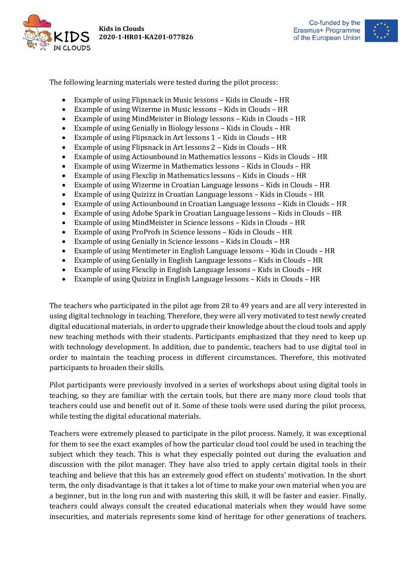





The following learning materials were tested during the pilot process:

- Example of using Flipsnack in Music lessons Kids in Clouds HR
- Example of using Wizerme in Music lessons Kids in Clouds HR
- Example of using MindMeister in Biology lessons Kids in Clouds HR
- Example of using Genially in Biology lessons Kids in Clouds HR
- Example of using Flipsnack in Art lessons 1 Kids in Clouds HR
- Example of using Flipsnack in Art lessons 2 Kids in Clouds HR
- Example of using Actiounbound in Mathematics lessons Kids in Clouds HR
- Example of using Wizerme in Mathematics lessons Kids in Clouds HR
- Example of using Flexclip in Mathematics lessons Kids in Clouds HR
- Example of using Wizerme in Croatian Language lessons Kids in Clouds HR
- Example of using Quizizz in Croatian Language lessons Kids in Clouds HR
- Example of using Actiounbound in Croatian Language lessons Kids in Clouds HR
- Example of using Adobe Spark in Croatian Language lessons Kids in Clouds HR
- Example of using MindMeister in Science lessons Kids in Clouds HR
- Example of using ProProfs in Science lessons Kids in Clouds HR
- Example of using Genially in Science lessons Kids in Clouds HR
- Example of using Mentimeter in English Language lessons Kids in Clouds HR
- Example of using Genially in English Language lessons Kids in Clouds HR
- Example of using Flexclip in English Language lessons Kids in Clouds HR
- Example of using Quizizz in English Language lessons Kids in Clouds HR

The teachers who participated in the pilot age from 28 to 49 years and are all very interested in using digital technology in teaching. Therefore, they were all very motivated to test newly created digital educational materials, in order to upgrade their knowledge about the cloud tools and apply new teaching methods with their students. Participants emphasized that they need to keep up with technology development. In addition, due to pandemic, teachers had to use digital tool in order to maintain the teaching process in different circumstances. Therefore, this motivated participants to broaden their skills.

Pilot participants were previously involved in a series of workshops about using digital tools in teaching, so they are familiar with the certain tools, but there are many more cloud tools that teachers could use and benefit out of it. Some of these tools were used during the pilot process, while testing the digital educational materials.

Teachers were extremely pleased to participate in the pilot process. Namely, it was exceptional for them to see the exact examples of how the particular cloud tool could be used in teaching the subject which they teach. This is what they especially pointed out during the evaluation and discussion with the pilot manager. They have also tried to apply certain digital tools in their teaching and believe that this has an extremely good effect on students' motivation. In the short term, the only disadvantage is that it takes a lot of time to make your own material when you are a beginner, but in the long run and with mastering this skill, it will be faster and easier. Finally, teachers could always consult the created educational materials when they would have some insecurities, and materials represents some kind of heritage for other generations of teachers.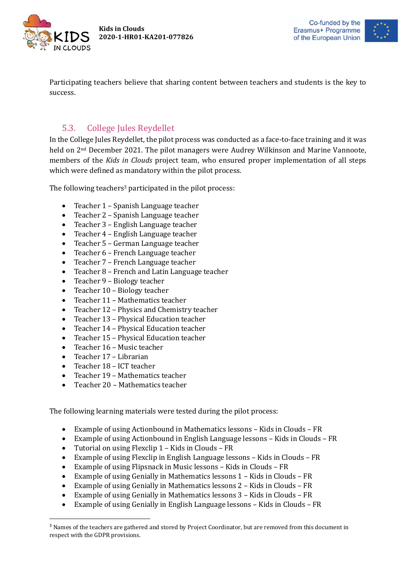



Participating teachers believe that sharing content between teachers and students is the key to success.

### 5.3. College Jules Reydellet

<span id="page-14-0"></span>In the College Jules Reydellet, the pilot process was conducted as a face-to-face training and it was held on 2<sup>nd</sup> December 2021. The pilot managers were Audrey Wilkinson and Marine Vannoote, members of the *Kids in Clouds* project team, who ensured proper implementation of all steps which were defined as mandatory within the pilot process.

The following teachers<sup>3</sup> participated in the pilot process:

- Teacher 1 Spanish Language teacher
- Teacher 2 Spanish Language teacher
- Teacher 3 English Language teacher
- Teacher 4 English Language teacher
- Teacher 5 German Language teacher
- Teacher 6 French Language teacher
- Teacher 7 French Language teacher
- Teacher 8 French and Latin Language teacher
- Teacher 9 Biology teacher
- Teacher 10 Biology teacher
- Teacher 11 Mathematics teacher
- Teacher 12 Physics and Chemistry teacher
- Teacher 13 Physical Education teacher
- Teacher 14 Physical Education teacher
- Teacher 15 Physical Education teacher
- Teacher 16 Music teacher
- Teacher 17 Librarian

**.** 

- Teacher 18 ICT teacher
- Teacher 19 Mathematics teacher
- Teacher 20 Mathematics teacher

The following learning materials were tested during the pilot process:

- Example of using Actionbound in Mathematics lessons Kids in Clouds FR
- Example of using Actionbound in English Language lessons Kids in Clouds FR
- Tutorial on using Flexclip 1 Kids in Clouds FR
- Example of using Flexclip in English Language lessons Kids in Clouds FR
- Example of using Flipsnack in Music lessons Kids in Clouds FR
- Example of using Genially in Mathematics lessons 1 Kids in Clouds FR
- Example of using Genially in Mathematics lessons 2 Kids in Clouds FR
- Example of using Genially in Mathematics lessons 3 Kids in Clouds FR
- Example of using Genially in English Language lessons Kids in Clouds FR

<sup>&</sup>lt;sup>3</sup> Names of the teachers are gathered and stored by Project Coordinator, but are removed from this document in respect with the GDPR provisions.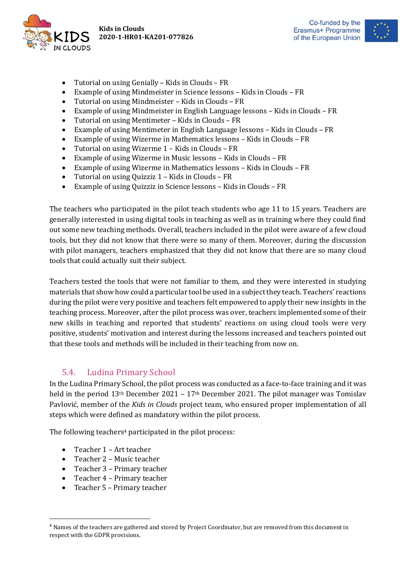



- Tutorial on using Genially Kids in Clouds FR
- Example of using Mindmeister in Science lessons Kids in Clouds FR
- Tutorial on using Mindmeister Kids in Clouds FR
- Example of using Mindmeister in English Language lessons Kids in Clouds FR
- Tutorial on using Mentimeter Kids in Clouds FR
- Example of using Mentimeter in English Language lessons Kids in Clouds FR
- Example of using Wizerme in Mathematics lessons Kids in Clouds FR
- Tutorial on using Wizerme 1 Kids in Clouds FR
- Example of using Wizerme in Music lessons Kids in Clouds FR
- Example of using Wizerme in Mathematics lessons Kids in Clouds FR
- Tutorial on using Quizziz 1 Kids in Clouds FR
- Example of using Quizziz in Science lessons Kids in Clouds FR

The teachers who participated in the pilot teach students who age 11 to 15 years. Teachers are generally interested in using digital tools in teaching as well as in training where they could find out some new teaching methods. Overall, teachers included in the pilot were aware of a few cloud tools, but they did not know that there were so many of them. Moreover, during the discussion with pilot managers, teachers emphasized that they did not know that there are so many cloud tools that could actually suit their subject.

Teachers tested the tools that were not familiar to them, and they were interested in studying materials that show how could a particular tool be used in a subject they teach. Teachers' reactions during the pilot were very positive and teachers felt empowered to apply their new insights in the teaching process. Moreover, after the pilot process was over, teachers implemented some of their new skills in teaching and reported that students' reactions on using cloud tools were very positive, students' motivation and interest during the lessons increased and teachers pointed out that these tools and methods will be included in their teaching from now on.

#### 5.4. Ludina Primary School

<span id="page-15-0"></span>In the Ludina Primary School, the pilot process was conducted as a face-to-face training and it was held in the period  $13<sup>th</sup>$  December 2021 –  $17<sup>th</sup>$  December 2021. The pilot manager was Tomislav Pavlović, member of the *Kids in Clouds* project team, who ensured proper implementation of all steps which were defined as mandatory within the pilot process.

The following teachers<sup>4</sup> participated in the pilot process:

• Teacher 1 – Art teacher

**.** 

- Teacher 2 Music teacher
- Teacher 3 Primary teacher
- Teacher 4 Primary teacher
- Teacher 5 Primary teacher

<sup>4</sup> Names of the teachers are gathered and stored by Project Coordinator, but are removed from this document in respect with the GDPR provisions.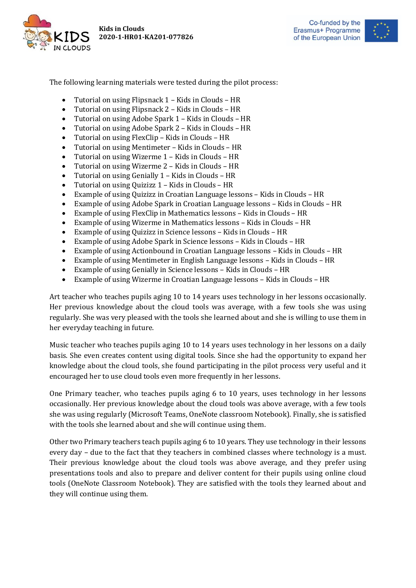





The following learning materials were tested during the pilot process:

- Tutorial on using Flipsnack 1 Kids in Clouds HR
- Tutorial on using Flipsnack 2 Kids in Clouds HR
- Tutorial on using Adobe Spark 1 Kids in Clouds HR
- Tutorial on using Adobe Spark 2 Kids in Clouds HR
- Tutorial on using FlexClip Kids in Clouds HR
- Tutorial on using Mentimeter Kids in Clouds HR
- Tutorial on using Wizerme 1 Kids in Clouds HR
- Tutorial on using Wizerme 2 Kids in Clouds HR
- Tutorial on using Genially 1 Kids in Clouds HR
- Tutorial on using Quizizz 1 Kids in Clouds HR
- Example of using Quizizz in Croatian Language lessons Kids in Clouds HR
- Example of using Adobe Spark in Croatian Language lessons Kids in Clouds HR
- Example of using FlexClip in Mathematics lessons Kids in Clouds HR
- Example of using Wizerme in Mathematics lessons Kids in Clouds HR
- Example of using Quizizz in Science lessons Kids in Clouds HR
- Example of using Adobe Spark in Science lessons Kids in Clouds HR
- Example of using Actionbound in Croatian Language lessons Kids in Clouds HR
- Example of using Mentimeter in English Language lessons Kids in Clouds HR
- Example of using Genially in Science lessons Kids in Clouds HR
- Example of using Wizerme in Croatian Language lessons Kids in Clouds HR

Art teacher who teaches pupils aging 10 to 14 years uses technology in her lessons occasionally. Her previous knowledge about the cloud tools was average, with a few tools she was using regularly. She was very pleased with the tools she learned about and she is willing to use them in her everyday teaching in future.

Music teacher who teaches pupils aging 10 to 14 years uses technology in her lessons on a daily basis. She even creates content using digital tools. Since she had the opportunity to expand her knowledge about the cloud tools, she found participating in the pilot process very useful and it encouraged her to use cloud tools even more frequently in her lessons.

One Primary teacher, who teaches pupils aging 6 to 10 years, uses technology in her lessons occasionally. Her previous knowledge about the cloud tools was above average, with a few tools she was using regularly (Microsoft Teams, OneNote classroom Notebook). Finally, she is satisfied with the tools she learned about and she will continue using them.

Other two Primary teachers teach pupils aging 6 to 10 years. They use technology in their lessons every day – due to the fact that they teachers in combined classes where technology is a must. Their previous knowledge about the cloud tools was above average, and they prefer using presentations tools and also to prepare and deliver content for their pupils using online cloud tools (OneNote Classroom Notebook). They are satisfied with the tools they learned about and they will continue using them.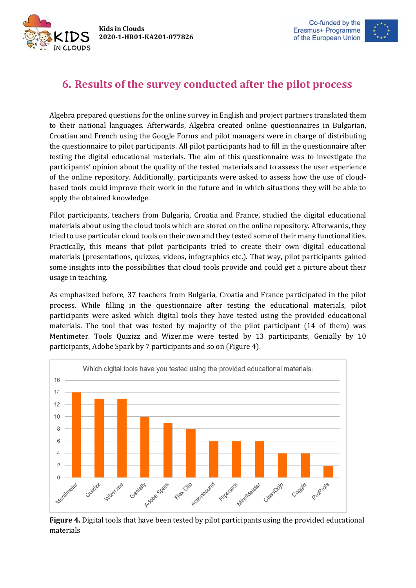IN CLOUDS



## <span id="page-17-0"></span>**6. Results of the survey conducted after the pilot process**

Algebra prepared questions for the online survey in English and project partners translated them to their national languages. Afterwards, Algebra created online questionnaires in Bulgarian, Croatian and French using the Google Forms and pilot managers were in charge of distributing the questionnaire to pilot participants. All pilot participants had to fill in the questionnaire after testing the digital educational materials. The aim of this questionnaire was to investigate the participants' opinion about the quality of the tested materials and to assess the user experience of the online repository. Additionally, participants were asked to assess how the use of cloudbased tools could improve their work in the future and in which situations they will be able to apply the obtained knowledge.

Pilot participants, teachers from Bulgaria, Croatia and France, studied the digital educational materials about using the cloud tools which are stored on the online repository. Afterwards, they tried to use particular cloud tools on their own and they tested some of their many functionalities. Practically, this means that pilot participants tried to create their own digital educational materials (presentations, quizzes, videos, infographics etc.). That way, pilot participants gained some insights into the possibilities that cloud tools provide and could get a picture about their usage in teaching.

As emphasized before, 37 teachers from Bulgaria, Croatia and France participated in the pilot process. While filling in the questionnaire after testing the educational materials, pilot participants were asked which digital tools they have tested using the provided educational materials. The tool that was tested by majority of the pilot participant (14 of them) was Mentimeter. Tools Quizizz and Wizer.me were tested by 13 participants, Genially by 10 participants, Adobe Spark by 7 participants and so on (Figure 4).



**Figure 4.** Digital tools that have been tested by pilot participants using the provided educational materials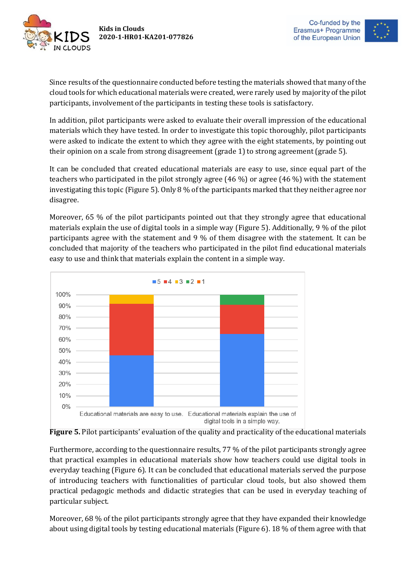



Since results of the questionnaire conducted before testing the materials showed that many of the cloud tools for which educational materials were created, were rarely used by majority of the pilot participants, involvement of the participants in testing these tools is satisfactory.

In addition, pilot participants were asked to evaluate their overall impression of the educational materials which they have tested. In order to investigate this topic thoroughly, pilot participants were asked to indicate the extent to which they agree with the eight statements, by pointing out their opinion on a scale from strong disagreement (grade 1) to strong agreement (grade 5).

It can be concluded that created educational materials are easy to use, since equal part of the teachers who participated in the pilot strongly agree (46 %) or agree (46 %) with the statement investigating this topic (Figure 5). Only 8 % of the participants marked that they neither agree nor disagree.

Moreover, 65 % of the pilot participants pointed out that they strongly agree that educational materials explain the use of digital tools in a simple way (Figure 5). Additionally, 9 % of the pilot participants agree with the statement and 9 % of them disagree with the statement. It can be concluded that majority of the teachers who participated in the pilot find educational materials easy to use and think that materials explain the content in a simple way.





Furthermore, according to the questionnaire results, 77 % of the pilot participants strongly agree that practical examples in educational materials show how teachers could use digital tools in everyday teaching (Figure 6). It can be concluded that educational materials served the purpose of introducing teachers with functionalities of particular cloud tools, but also showed them practical pedagogic methods and didactic strategies that can be used in everyday teaching of particular subject.

Moreover, 68 % of the pilot participants strongly agree that they have expanded their knowledge about using digital tools by testing educational materials (Figure 6). 18 % of them agree with that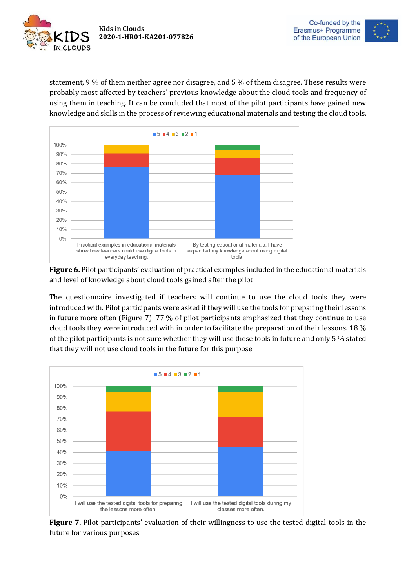



statement, 9 % of them neither agree nor disagree, and 5 % of them disagree. These results were probably most affected by teachers' previous knowledge about the cloud tools and frequency of using them in teaching. It can be concluded that most of the pilot participants have gained new knowledge and skills in the process of reviewing educational materials and testing the cloud tools.



**Figure 6.** Pilot participants' evaluation of practical examples included in the educational materials and level of knowledge about cloud tools gained after the pilot

The questionnaire investigated if teachers will continue to use the cloud tools they were introduced with. Pilot participants were asked if they will use the tools for preparing their lessons in future more often (Figure 7). 77 % of pilot participants emphasized that they continue to use cloud tools they were introduced with in order to facilitate the preparation of their lessons. 18 % of the pilot participants is not sure whether they will use these tools in future and only 5 % stated that they will not use cloud tools in the future for this purpose.



**Figure 7.** Pilot participants' evaluation of their willingness to use the tested digital tools in the future for various purposes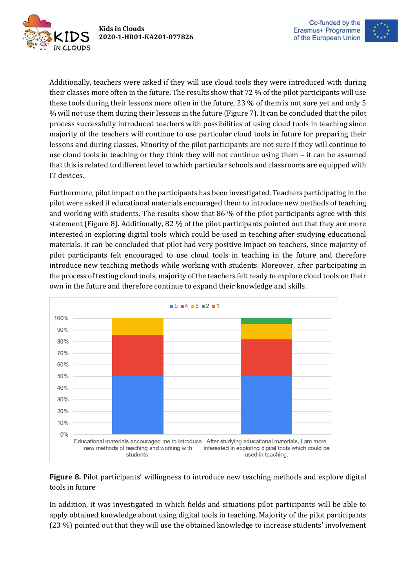IN CLOUDS

**Kids in Clouds 2020-1-HR01-KA201-077826**



Additionally, teachers were asked if they will use cloud tools they were introduced with during their classes more often in the future. The results show that 72 % of the pilot participants will use these tools during their lessons more often in the future, 23 % of them is not sure yet and only 5 % will not use them during their lessons in the future (Figure 7). It can be concluded that the pilot process successfully introduced teachers with possibilities of using cloud tools in teaching since majority of the teachers will continue to use particular cloud tools in future for preparing their lessons and during classes. Minority of the pilot participants are not sure if they will continue to use cloud tools in teaching or they think they will not continue using them – it can be assumed that this is related to different level to which particular schools and classrooms are equipped with IT devices.

Furthermore, pilot impact on the participants has been investigated. Teachers participating in the pilot were asked if educational materials encouraged them to introduce new methods of teaching and working with students. The results show that 86 % of the pilot participants agree with this statement (Figure 8). Additionally, 82 % of the pilot participants pointed out that they are more interested in exploring digital tools which could be used in teaching after studying educational materials. It can be concluded that pilot had very positive impact on teachers, since majority of pilot participants felt encouraged to use cloud tools in teaching in the future and therefore introduce new teaching methods while working with students. Moreover, after participating in the process of testing cloud tools, majority of the teachers felt ready to explore cloud tools on their own in the future and therefore continue to expand their knowledge and skills.



**Figure 8.** Pilot participants' willingness to introduce new teaching methods and explore digital tools in future

In addition, it was investigated in which fields and situations pilot participants will be able to apply obtained knowledge about using digital tools in teaching. Majority of the pilot participants (23 %) pointed out that they will use the obtained knowledge to increase students' involvement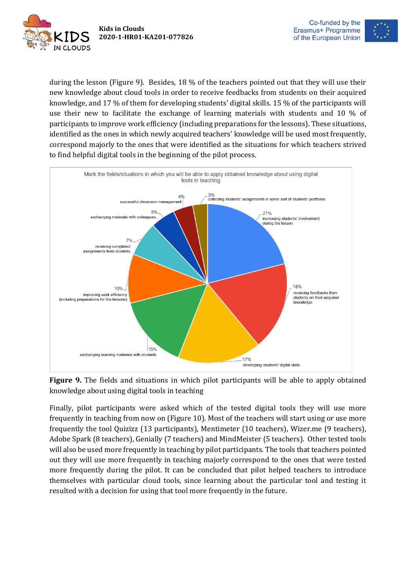



during the lesson (Figure 9). Besides, 18 % of the teachers pointed out that they will use their new knowledge about cloud tools in order to receive feedbacks from students on their acquired knowledge, and 17 % of them for developing students' digital skills. 15 % of the participants will use their new to facilitate the exchange of learning materials with students and 10 % of participants to improve work efficiency (including preparations for the lessons). These situations, identified as the ones in which newly acquired teachers' knowledge will be used most frequently, correspond majorly to the ones that were identified as the situations for which teachers strived to find helpful digital tools in the beginning of the pilot process.



**Figure 9.** The fields and situations in which pilot participants will be able to apply obtained knowledge about using digital tools in teaching

Finally, pilot participants were asked which of the tested digital tools they will use more frequently in teaching from now on (Figure 10). Most of the teachers will start using or use more frequently the tool Quizizz (13 participants), Mentimeter (10 teachers), Wizer.me (9 teachers), Adobe Spark (8 teachers), Genially (7 teachers) and MindMeister (5 teachers). Other tested tools will also be used more frequently in teaching by pilot participants. The tools that teachers pointed out they will use more frequently in teaching majorly correspond to the ones that were tested more frequently during the pilot. It can be concluded that pilot helped teachers to introduce themselves with particular cloud tools, since learning about the particular tool and testing it resulted with a decision for using that tool more frequently in the future.